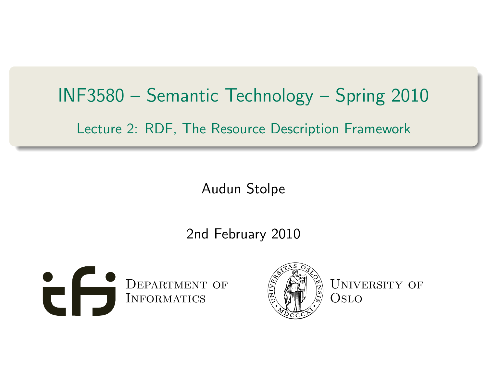# INF3580 – Semantic Technology – Spring 2010 Lecture 2: RDF, The Resource Description Framework

Audun Stolpe

2nd February 2010

<span id="page-0-0"></span>



UNIVERSITY OF Oslo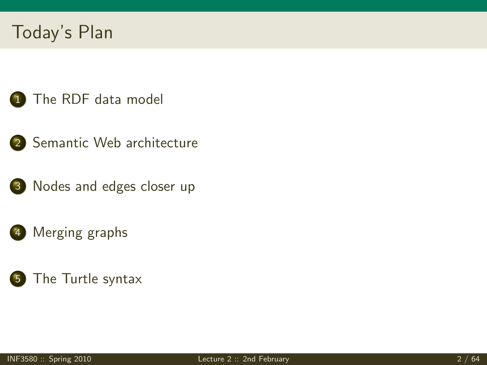# Today's Plan

- [The RDF data model](#page-3-0)
- 2 [Semantic Web architecture](#page-50-0)
- 3 [Nodes and edges closer up](#page-52-0)
- 4 [Merging graphs](#page-61-0)
- 5 [The Turtle syntax](#page-69-0)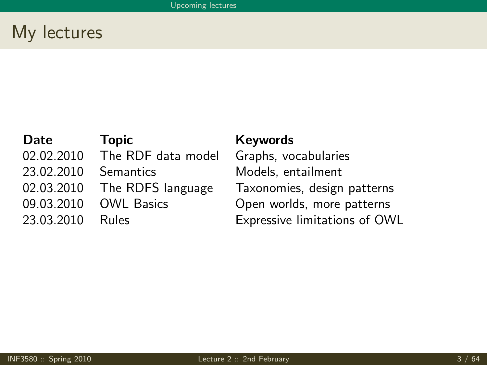## My lectures

02.02.2010 The RDF data model Graphs, vocabularies 23.02.2010 Semantics Models, entailment

#### Date Topic Keywords

02.03.2010 The RDFS language Taxonomies, design patterns 09.03.2010 OWL Basics Open worlds, more patterns 23.03.2010 Rules Expressive limitations of OWL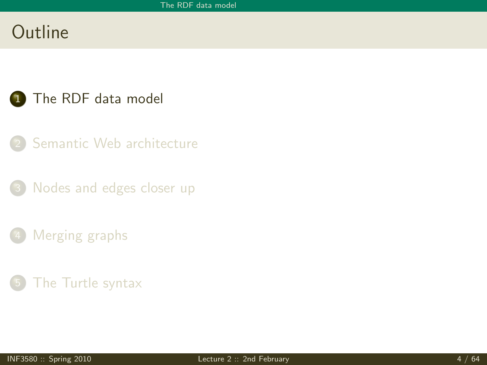## **Outline**

#### 1 [The RDF data model](#page-3-0)

- [Semantic Web architecture](#page-50-0)
- [Nodes and edges closer up](#page-52-0)
- [Merging graphs](#page-61-0)
- <span id="page-3-0"></span>[The Turtle syntax](#page-69-0)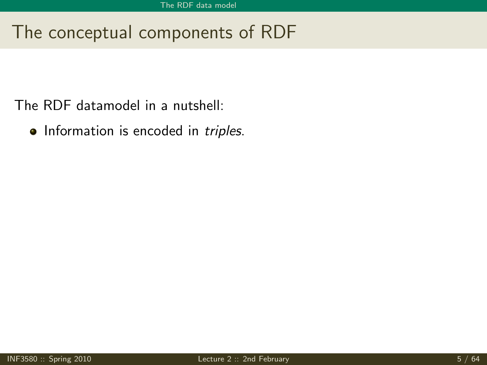The RDF datamodel in a nutshell:

• Information is encoded in triples.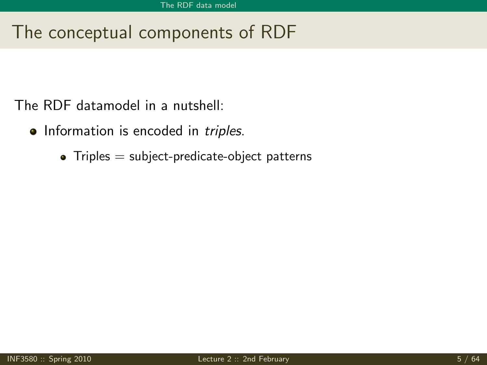- Information is encoded in *triples*.
	- $\bullet$  Triples = subject-predicate-object patterns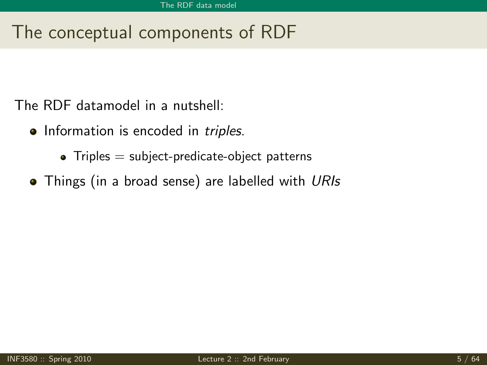- Information is encoded in *triples*.
	- $\bullet$  Triples  $=$  subject-predicate-object patterns
- Things (in a broad sense) are labelled with URIs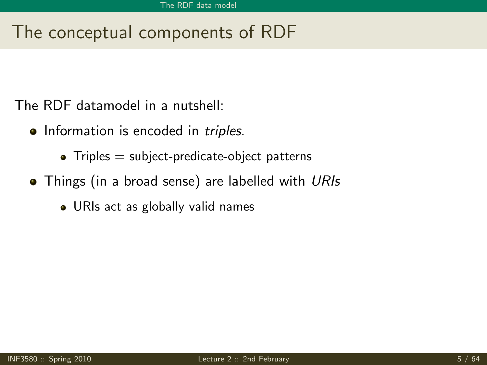- Information is encoded in *triples*.
	- $\bullet$  Triples  $=$  subject-predicate-object patterns
- Things (in a broad sense) are labelled with URIs
	- URIs act as globally valid names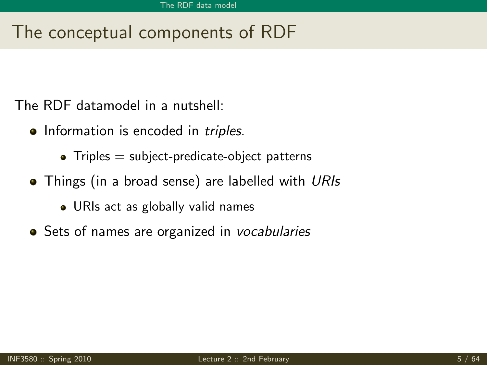- Information is encoded in *triples*.
	- $\bullet$  Triples  $=$  subject-predicate-object patterns
- Things (in a broad sense) are labelled with URIs
	- URIs act as globally valid names
- Sets of names are organized in vocabularies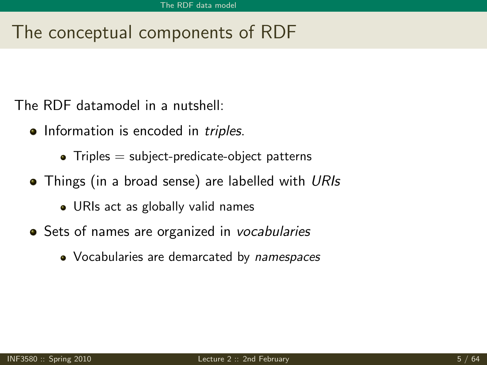- Information is encoded in *triples*.
	- $\bullet$  Triples  $=$  subject-predicate-object patterns
- Things (in a broad sense) are labelled with URIs
	- URIs act as globally valid names
- Sets of names are organized in vocabularies
	- Vocabularies are demarcated by *namespaces*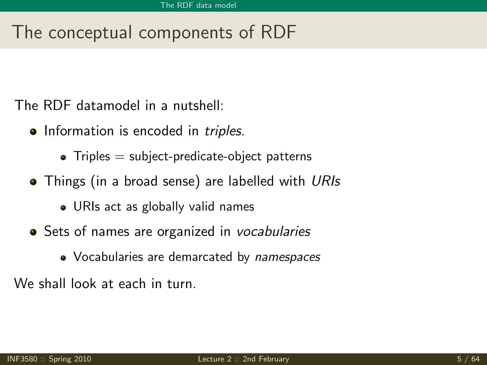The RDF datamodel in a nutshell:

- Information is encoded in *triples*.
	- $\bullet$  Triples  $=$  subject-predicate-object patterns
- Things (in a broad sense) are labelled with URIs
	- URIs act as globally valid names
- Sets of names are organized in vocabularies
	- Vocabularies are demarcated by *namespaces*

We shall look at each in turn.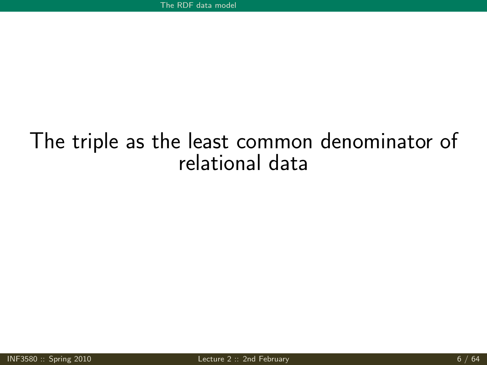# The triple as the least common denominator of relational data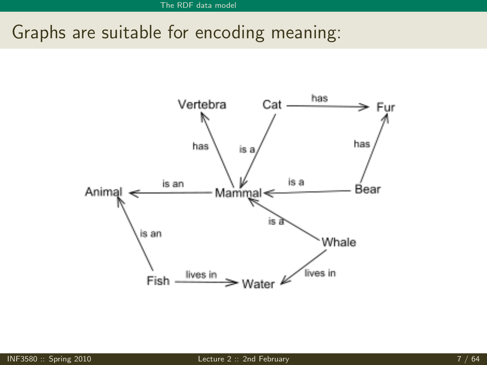# Graphs are suitable for encoding meaning:

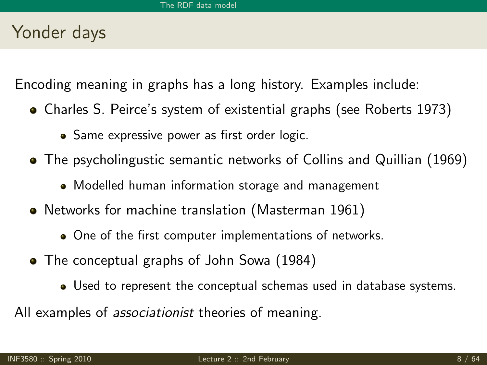## Yonder days

Encoding meaning in graphs has a long history. Examples include:

- Charles S. Peirce's system of existential graphs (see Roberts 1973)
	- Same expressive power as first order logic.
- The psycholingustic semantic networks of Collins and Quillian (1969)
	- Modelled human information storage and management
- Networks for machine translation (Masterman 1961)
	- One of the first computer implementations of networks.
- The conceptual graphs of John Sowa (1984)
	- Used to represent the conceptual schemas used in database systems.

All examples of *associationist* theories of meaning.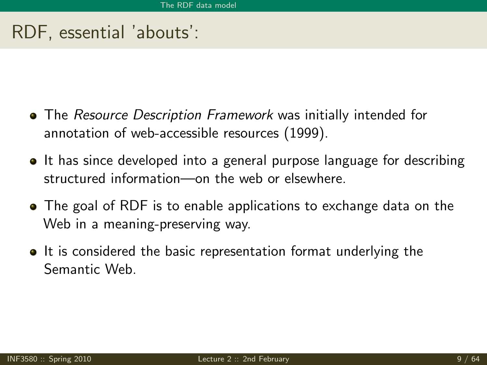## RDF, essential 'abouts':

- The Resource Description Framework was initially intended for annotation of web-accessible resources (1999).
- It has since developed into a general purpose language for describing structured information—on the web or elsewhere.
- The goal of RDF is to enable applications to exchange data on the Web in a meaning-preserving way.
- It is considered the basic representation format underlying the Semantic Web.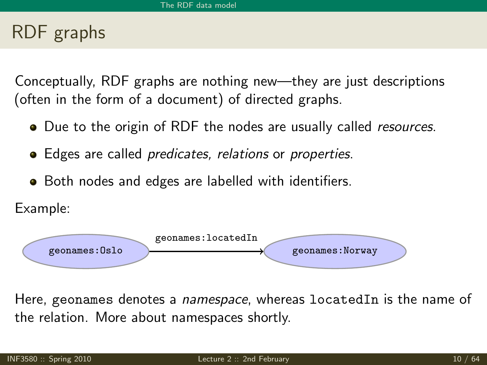## RDF graphs

Conceptually, RDF graphs are nothing new—they are just descriptions (often in the form of a document) of directed graphs.

- Due to the origin of RDF the nodes are usually called *resources*.
- Edges are called *predicates, relations* or *properties*.
- Both nodes and edges are labelled with identifiers.

Example:



Here, geonames denotes a *namespace*, whereas locatedIn is the name of the relation. More about namespaces shortly.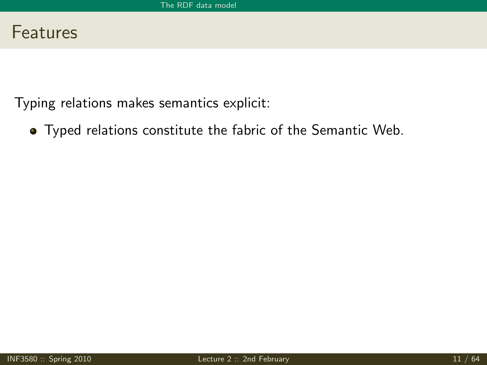Typing relations makes semantics explicit:

Typed relations constitute the fabric of the Semantic Web.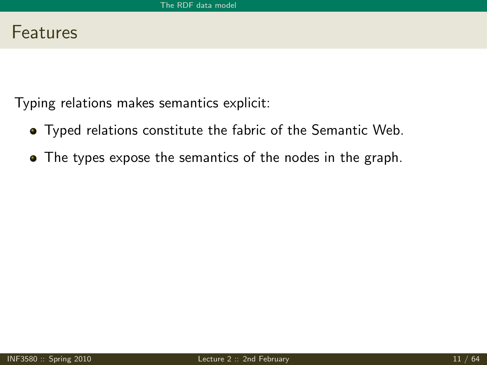- Typed relations constitute the fabric of the Semantic Web.
- The types expose the semantics of the nodes in the graph.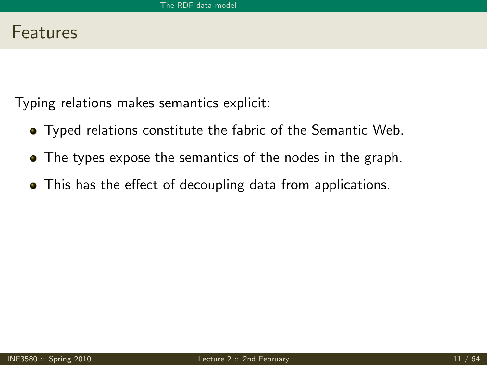- Typed relations constitute the fabric of the Semantic Web.
- The types expose the semantics of the nodes in the graph.
- This has the effect of decoupling data from applications.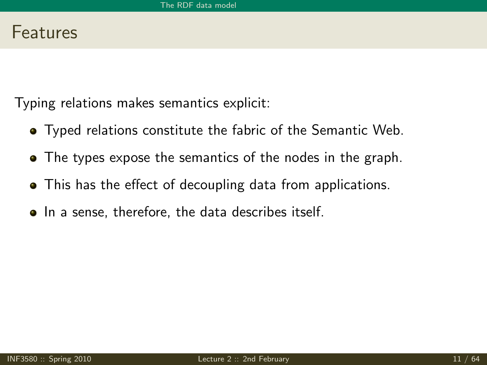- Typed relations constitute the fabric of the Semantic Web.
- The types expose the semantics of the nodes in the graph.
- This has the effect of decoupling data from applications.
- In a sense, therefore, the data describes itself.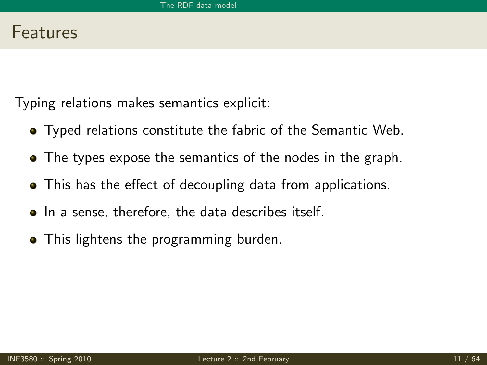- Typed relations constitute the fabric of the Semantic Web.
- The types expose the semantics of the nodes in the graph.
- This has the effect of decoupling data from applications.
- In a sense, therefore, the data describes itself.
- This lightens the programming burden.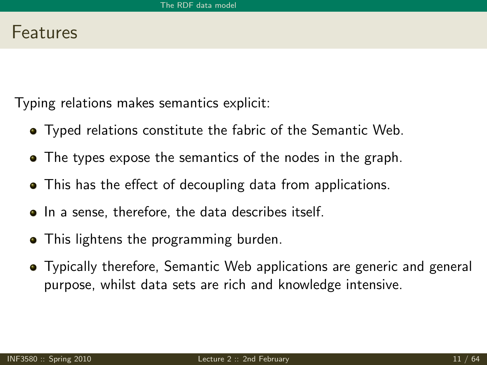- Typed relations constitute the fabric of the Semantic Web.
- The types expose the semantics of the nodes in the graph.
- This has the effect of decoupling data from applications.
- In a sense, therefore, the data describes itself.
- This lightens the programming burden.
- Typically therefore, Semantic Web applications are generic and general purpose, whilst data sets are rich and knowledge intensive.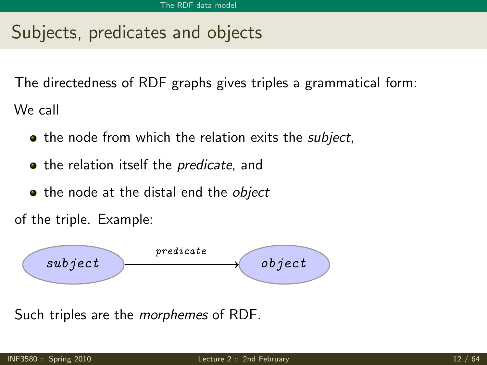# Subjects, predicates and objects

The directedness of RDF graphs gives triples a grammatical form: We call

- the node from which the relation exits the *subject*,
- the relation itself the *predicate*, and
- the node at the distal end the *object*

of the triple. Example:



Such triples are the *morphemes* of RDF.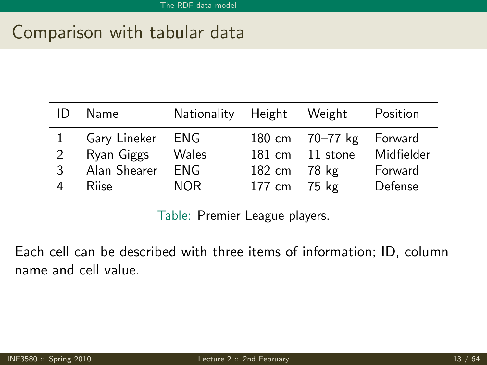## Comparison with tabular data

|                                                                                                                                                                                                                               | Position |
|-------------------------------------------------------------------------------------------------------------------------------------------------------------------------------------------------------------------------------|----------|
| Gary Lineker ENG<br>180 cm 70-77 kg Forward<br>Midfielder<br>Ryan Giggs<br>Wales<br>181 cm 11 stone<br>$\mathcal{P}$<br>Alan Shearer<br>ENG.<br>Forward<br>182 cm 78 kg<br>3<br>Defense<br>NOR.<br>177 cm 75 kg<br>Riise<br>4 |          |

Table: Premier League players.

Each cell can be described with three items of information; ID, column name and cell value.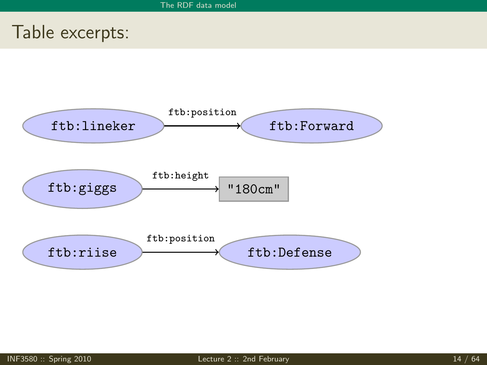## Table excerpts:

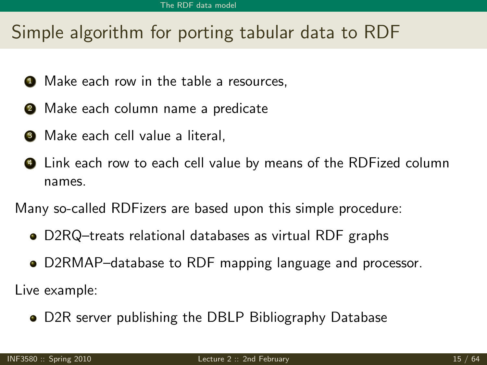# Simple algorithm for porting tabular data to RDF

- **1** Make each row in the table a resources,
- **2** Make each column name a predicate
- **3** Make each cell value a literal,
- <sup>4</sup> Link each row to each cell value by means of the RDFized column names.

Many so-called RDFizers are based upon this simple procedure:

- D2RQ–treats relational databases as virtual RDF graphs
- D2RMAP–database to RDF mapping language and processor.

Live example:

[D2R server publishing the DBLP Bibliography Database](http://www4.wiwiss.fu-berlin.de/dblp/)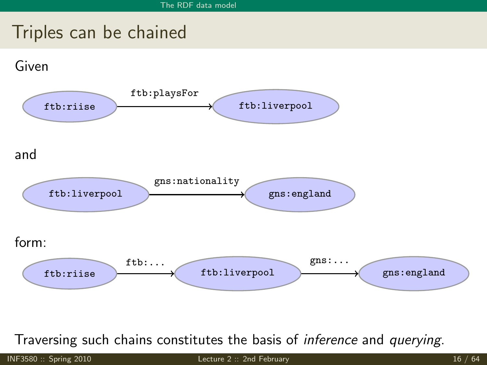# Triples can be chained



Traversing such chains constitutes the basis of inference and querying.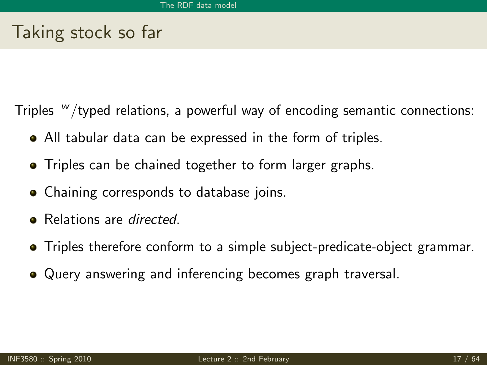## Taking stock so far

Triples  $W$ /typed relations, a powerful way of encoding semantic connections:

- All tabular data can be expressed in the form of triples.
- Triples can be chained together to form larger graphs.
- Chaining corresponds to database joins.
- Relations are *directed*.
- Triples therefore conform to a simple subject-predicate-object grammar.
- Query answering and inferencing becomes graph traversal.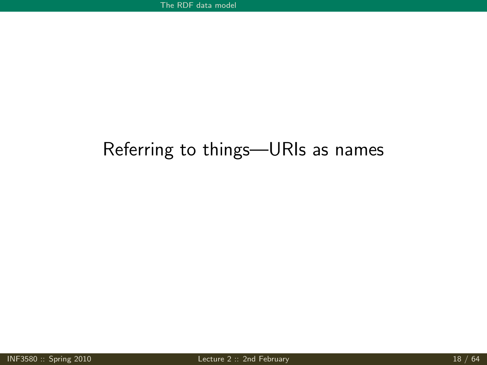## Referring to things—URIs as names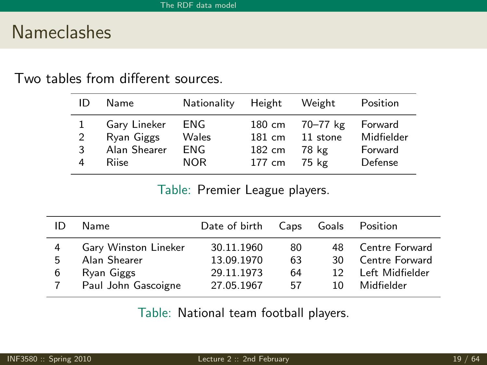## Nameclashes

#### Two tables from different sources.

| ID | Name         | Nationality | Height | Weight   | Position   |
|----|--------------|-------------|--------|----------|------------|
| 1  | Gary Lineker | ENG         | 180 cm | 70-77 kg | Forward    |
| 2  | Ryan Giggs   | Wales       | 181 cm | 11 stone | Midfielder |
| 3  | Alan Shearer | ENG         | 182 cm | 78 kg    | Forward    |
| 4  | Riise        | NOR.        | 177 cm | 75 kg    | Defense    |

Table: Premier League players.

| ID             | Name                                               | Date of birth Caps                     |                | Goals          | Position                                            |
|----------------|----------------------------------------------------|----------------------------------------|----------------|----------------|-----------------------------------------------------|
| 4<br>5<br>6    | Gary Winston Lineker<br>Alan Shearer<br>Ryan Giggs | 30.11.1960<br>13.09.1970<br>29.11.1973 | 80<br>63<br>64 | 48<br>30<br>12 | Centre Forward<br>Centre Forward<br>Left Midfielder |
| $\overline{7}$ | Paul John Gascoigne                                | 27.05.1967                             | 57             | 10.            | Midfielder                                          |

Table: National team football players.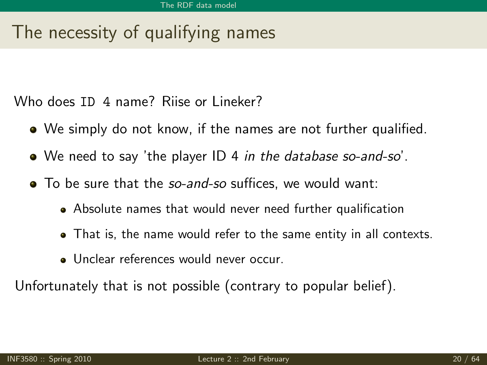# The necessity of qualifying names

Who does ID 4 name? Riise or Lineker?

- We simply do not know, if the names are not further qualified.
- We need to say 'the player ID 4 in the database so-and-so'.
- To be sure that the so-and-so suffices, we would want:
	- Absolute names that would never need further qualification
	- That is, the name would refer to the same entity in all contexts.
	- Unclear references would never occur.

Unfortunately that is not possible (contrary to popular belief).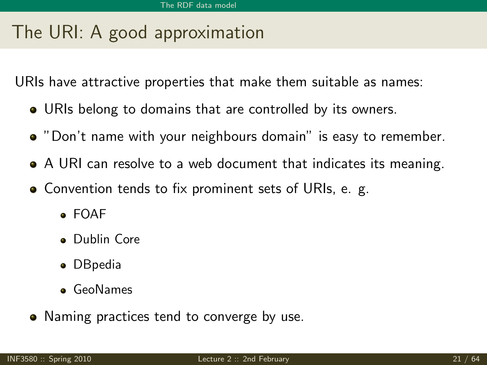# The URI: A good approximation

URIs have attractive properties that make them suitable as names:

- URIs belong to domains that are controlled by its owners.
- "Don't name with your neighbours domain" is easy to remember.
- A URI can resolve to a web document that indicates its meaning.
- Convention tends to fix prominent sets of URIs, e. g.
	- FOAF
	- **·** Dublin Core
	- DBpedia
	- **o** GeoNames
- Naming practices tend to converge by use.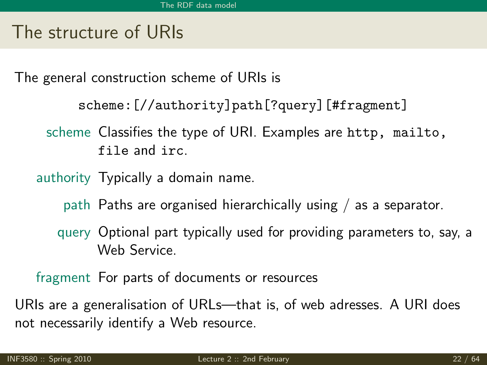## The structure of URIs

The general construction scheme of URIs is

```
scheme:[//authority]path[?query][#fragment]
```
scheme Classifies the type of URI. Examples are http, mailto, file and irc.

authority Typically a domain name.

- path Paths are organised hierarchically using / as a separator.
- query Optional part typically used for providing parameters to, say, a Web Service.

fragment For parts of documents or resources

URIs are a generalisation of URLs—that is, of web adresses. A URI does not necessarily identify a Web resource.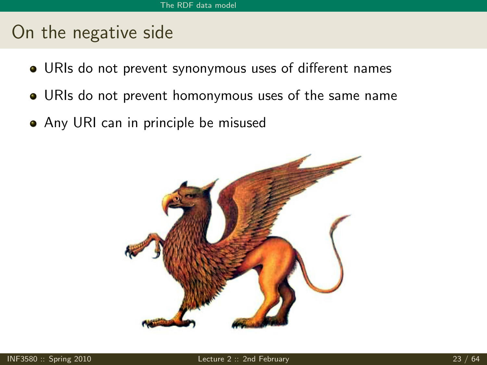## On the negative side

- URIs do not prevent synonymous uses of different names
- URIs do not prevent homonymous uses of the same name
- Any URI can in principle be misused

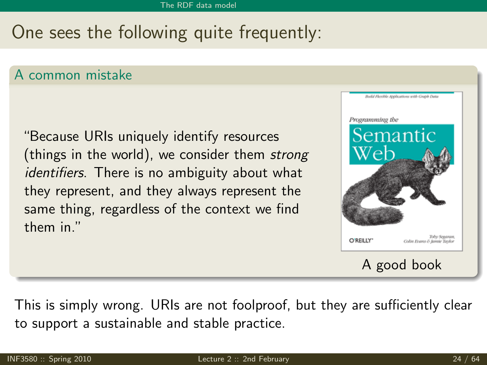# One sees the following quite frequently:

#### A common mistake

"Because URIs uniquely identify resources (things in the world), we consider them strong identifiers. There is no ambiguity about what they represent, and they always represent the same thing, regardless of the context we find them in."



This is simply wrong. URIs are not foolproof, but they are sufficiently clear to support a sustainable and stable practice.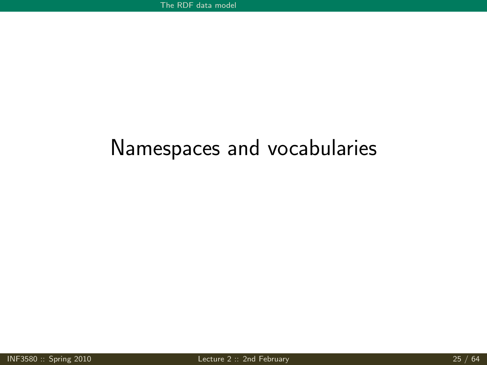# Namespaces and vocabularies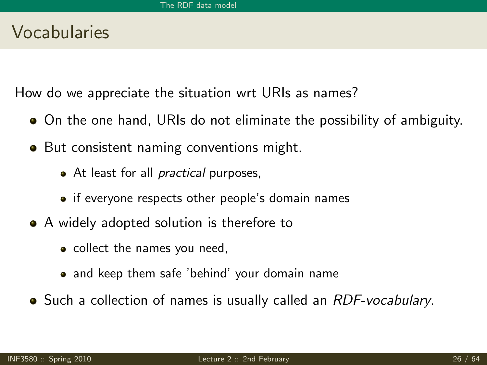### Vocabularies

How do we appreciate the situation wrt URIs as names?

- On the one hand, URIs do not eliminate the possibility of ambiguity.
- But consistent naming conventions might.
	- At least for all *practical* purposes,
	- if everyone respects other people's domain names
- A widely adopted solution is therefore to
	- collect the names you need,
	- and keep them safe 'behind' your domain name
- Such a collection of names is usually called an RDF-vocabulary.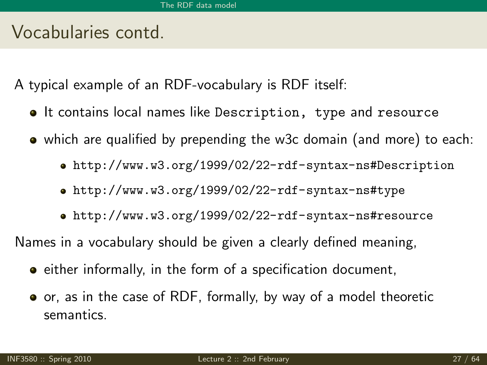### Vocabularies contd.

A typical example of an RDF-vocabulary is RDF itself:

- **It contains local names like Description, type and resource**
- which are qualified by prepending the w3c domain (and more) to each:
	- <http://www.w3.org/1999/02/22-rdf-syntax-ns#Description>
	- <http://www.w3.org/1999/02/22-rdf-syntax-ns#type>
	- <http://www.w3.org/1999/02/22-rdf-syntax-ns#resource>

Names in a vocabulary should be given a clearly defined meaning,

- **e** either informally, in the form of a specification document,
- or, as in the case of RDF, formally, by way of a model theoretic semantics.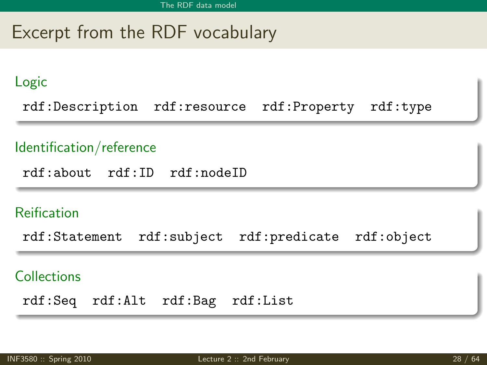# Excerpt from the RDF vocabulary

#### Logic

rdf:Description rdf:resource rdf:Property rdf:type

#### Identification/reference

rdf:about rdf:ID rdf:nodeID

#### Reification

rdf:Statement rdf:subject rdf:predicate rdf:object

#### **Collections**

rdf:Seq rdf:Alt rdf:Bag rdf:List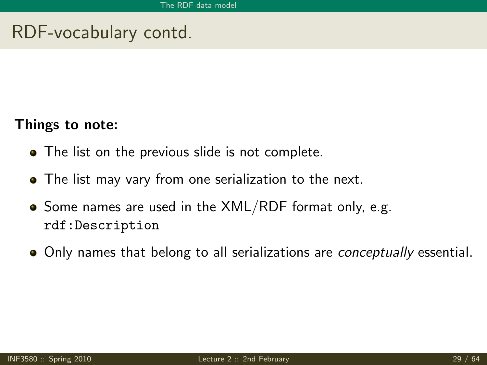# RDF-vocabulary contd.

#### Things to note:

- The list on the previous slide is not complete.
- The list may vary from one serialization to the next.
- $\bullet$  Some names are used in the XML/RDF format only, e.g. rdf:Description
- Only names that belong to all serializations are *conceptually* essential.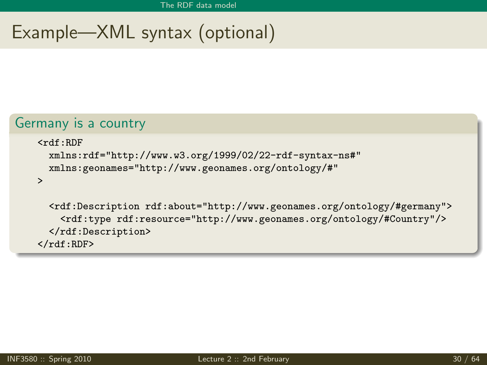# Example—XML syntax (optional)

#### Germany is a country

```
<rdf:RDF
  xmlns:rdf="http://www.w3.org/1999/02/22-rdf-syntax-ns#"
  xmlns:geonames="http://www.geonames.org/ontology/#"
```
>

```
<rdf:Description rdf:about="http://www.geonames.org/ontology/#germany">
    <rdf:type rdf:resource="http://www.geonames.org/ontology/#Country"/>
  </rdf:Description>
\langle \text{rdf}:RDF \rangle
```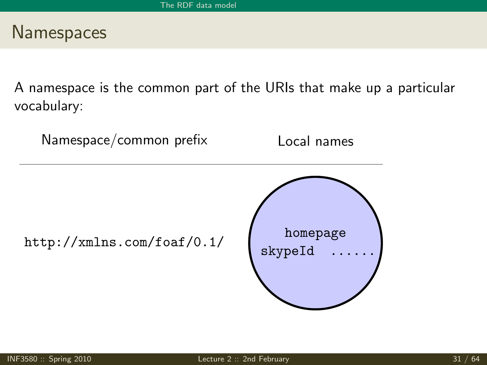### **Namespaces**

A namespace is the common part of the URIs that make up a particular vocabulary:

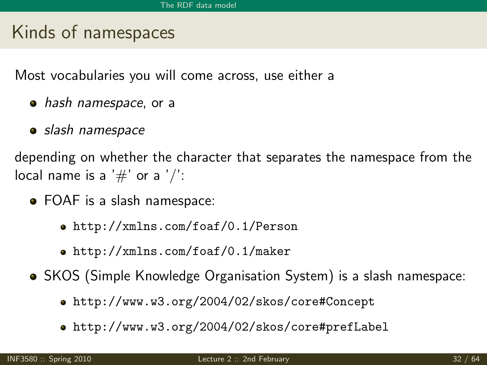# Kinds of namespaces

Most vocabularies you will come across, use either a

- hash namespace, or a
- slash namespace

depending on whether the character that separates the namespace from the local name is a  $'#'$  or a  $'$ .

- FOAF is a slash namespace:
	- <http://xmlns.com/foaf/0.1/Person>
	- <http://xmlns.com/foaf/0.1/maker>
- SKOS (Simple Knowledge Organisation System) is a slash namespace:
	- <http://www.w3.org/2004/02/skos/core#Concept>
	- <http://www.w3.org/2004/02/skos/core#prefLabel>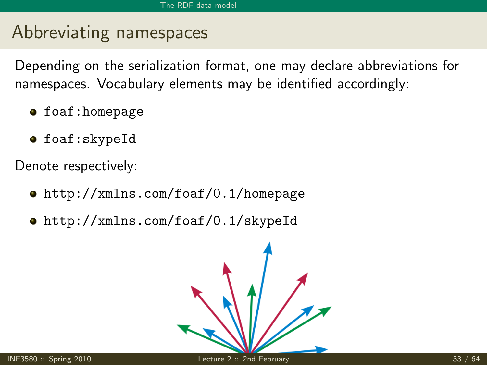# Abbreviating namespaces

Depending on the serialization format, one may declare abbreviations for namespaces. Vocabulary elements may be identified accordingly:

- **o** foaf:homepage
- **o** foaf:skypeId

Denote respectively:

- <http://xmlns.com/foaf/0.1/homepage>
- <http://xmlns.com/foaf/0.1/skypeId>

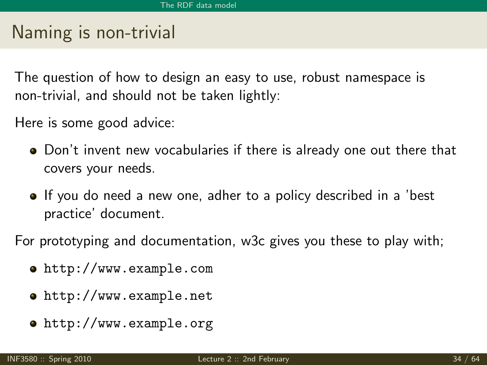# Naming is non-trivial

The question of how to design an easy to use, robust namespace is non-trivial, and should not be taken lightly:

Here is some good advice:

- Don't invent new vocabularies if there is already one out there that covers your needs.
- If you do need a new one, adher to a policy described in a 'best practice' document.

For prototyping and documentation, w3c gives you these to play with;

- <http://www.example.com>
- <http://www.example.net>
- <http://www.example.org>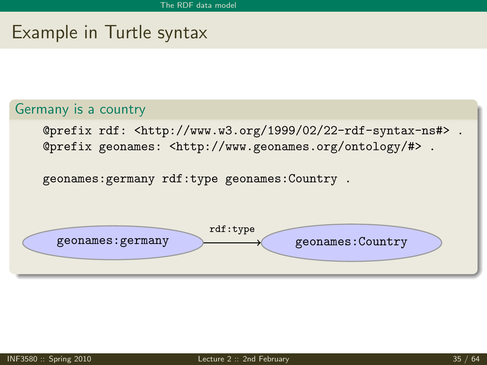### Example in Turtle syntax

#### Germany is a country

@prefix rdf: <http://www.w3.org/1999/02/22-rdf-syntax-ns#> . @prefix geonames: <http://www.geonames.org/ontology/#> .

geonames:germany rdf:type geonames:Country .

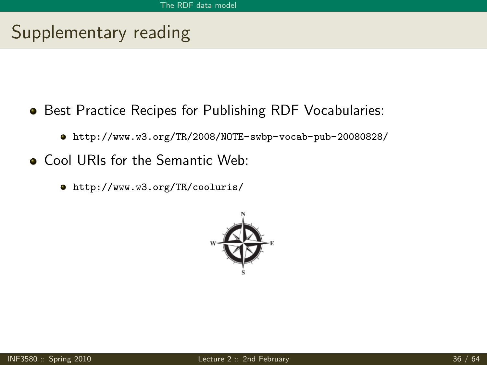# Supplementary reading

- **Best Practice Recipes for Publishing RDF Vocabularies:** 
	- <http://www.w3.org/TR/2008/NOTE-swbp-vocab-pub-20080828/>
- **Cool URIs for the Semantic Web:** 
	- <http://www.w3.org/TR/cooluris/>

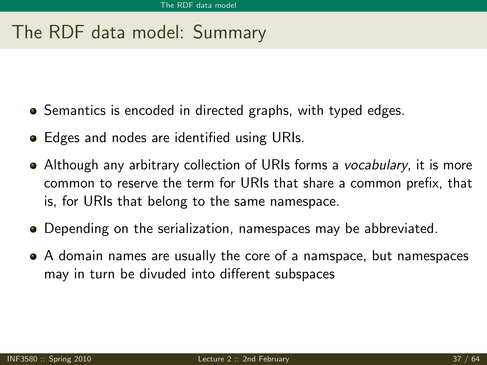# The RDF data model: Summary

- Semantics is encoded in directed graphs, with typed edges.
- Edges and nodes are identified using URIs.
- Although any arbitrary collection of URIs forms a *vocabulary*, it is more common to reserve the term for URIs that share a common prefix, that is, for URIs that belong to the same namespace.
- Depending on the serialization, namespaces may be abbreviated.
- A domain names are usually the core of a namspace, but namespaces may in turn be divuded into different subspaces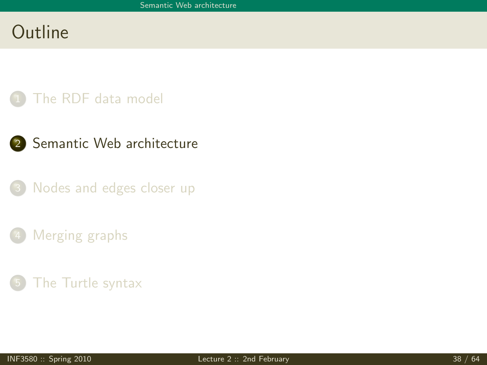# Outline

### [The RDF data model](#page-3-0)

- <span id="page-50-0"></span>2 [Semantic Web architecture](#page-50-0)
	- [Nodes and edges closer up](#page-52-0)
	- [Merging graphs](#page-61-0)
	- [The Turtle syntax](#page-69-0)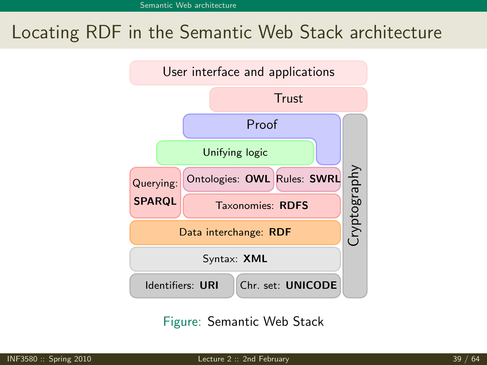# Locating RDF in the Semantic Web Stack architecture



Figure: Semantic Web Stack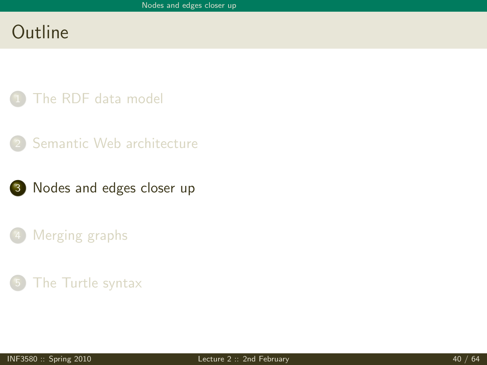# Outline

- [The RDF data model](#page-3-0)
- [Semantic Web architecture](#page-50-0)
- <span id="page-52-0"></span>3 [Nodes and edges closer up](#page-52-0)
	- [Merging graphs](#page-61-0)
	- [The Turtle syntax](#page-69-0)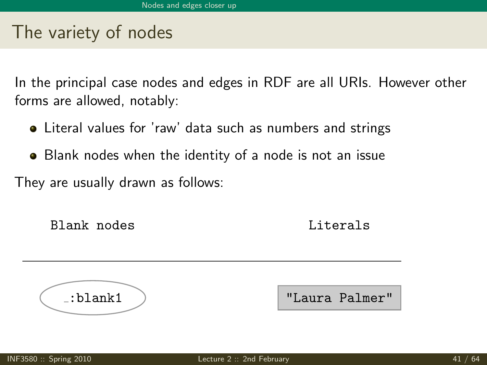### The variety of nodes

In the principal case nodes and edges in RDF are all URIs. However other forms are allowed, notably:

- Literal values for 'raw' data such as numbers and strings
- Blank nodes when the identity of a node is not an issue

They are usually drawn as follows:

Blank nodes **Literals** 

:blank1 "Laura Palmer"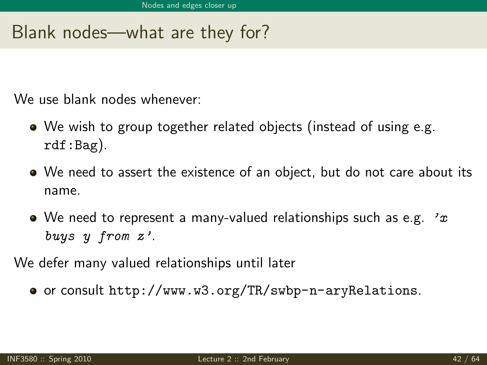# Blank nodes—what are they for?

We use blank nodes whenever:

- We wish to group together related objects (instead of using e.g. rdf:Bag).
- We need to assert the existence of an object, but do not care about its name.
- We need to represent a many-valued relationships such as e.g.  $x$ buys y from z'.

We defer many valued relationships until later

or consult <http://www.w3.org/TR/swbp-n-aryRelations>.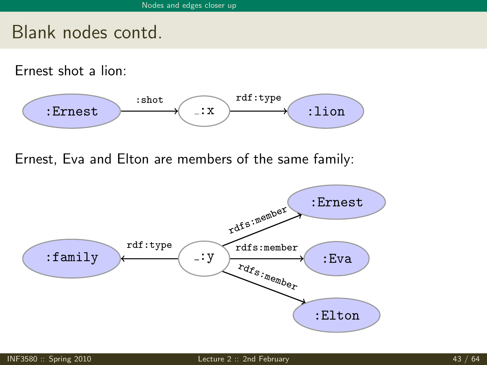### Blank nodes contd.

Ernest shot a lion:



Ernest, Eva and Elton are members of the same family:

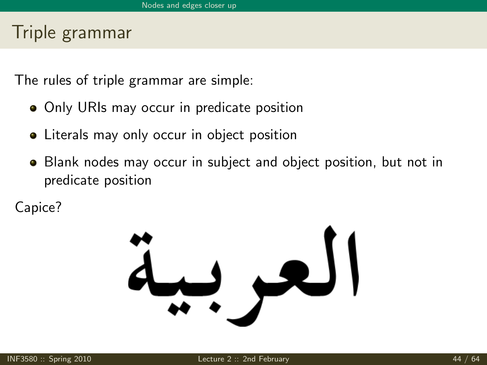# Triple grammar

The rules of triple grammar are simple:

- Only URIs may occur in predicate position
- Literals may only occur in object position
- Blank nodes may occur in subject and object position, but not in predicate position

Capice?

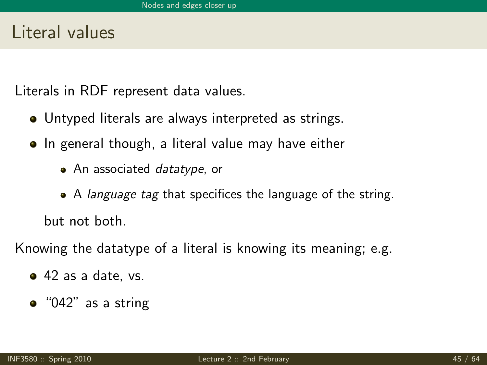### Literal values

Literals in RDF represent data values.

- Untyped literals are always interpreted as strings.
- In general though, a literal value may have either
	- An associated *datatype*, or
	- A *language tag* that specifices the language of the string. but not both.

Knowing the datatype of a literal is knowing its meaning; e.g.

- 42 as a date, vs.
- $\bullet$  "042" as a string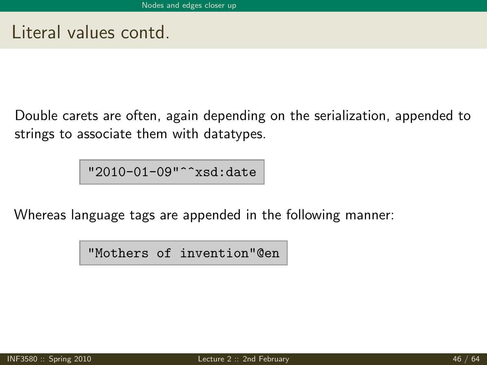Literal values contd.

Double carets are often, again depending on the serialization, appended to strings to associate them with datatypes.

"2010-01-09"^^xsd:date

Whereas language tags are appended in the following manner:

"Mothers of invention"@en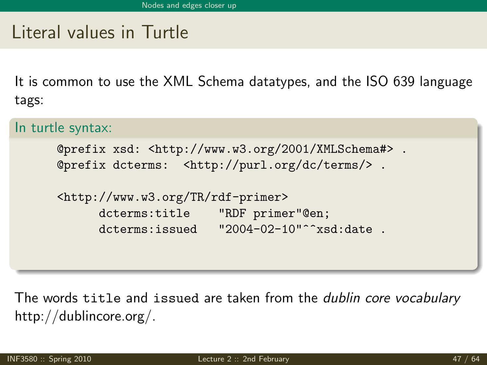# Literal values in Turtle

It is common to use the XML Schema datatypes, and the ISO 639 language tags:

#### In turtle syntax:

```
@prefix xsd: <http://www.w3.org/2001/XMLSchema#> .
@prefix dcterms: <http://purl.org/dc/terms/> .
```

```
<http://www.w3.org/TR/rdf-primer>
     dcterms:title "RDF primer"@en;
     dcterms:issued "2004-02-10"^^xsd:date .
```
The words title and issued are taken from the dublin core vocabulary http://dublincore.org/.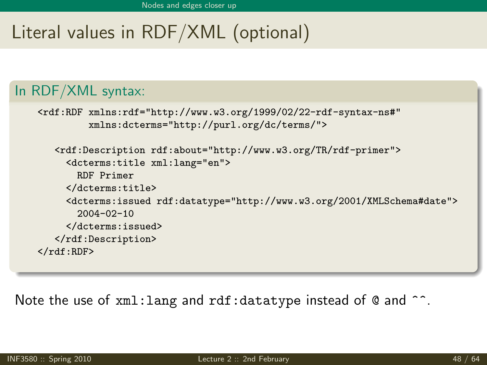# Literal values in RDF/XML (optional)

### In RDF/XML syntax:

```
<rdf:RDF xmlns:rdf="http://www.w3.org/1999/02/22-rdf-syntax-ns#"
         xmlns:dcterms="http://purl.org/dc/terms/">
   <rdf:Description rdf:about="http://www.w3.org/TR/rdf-primer">
     <dcterms:title xml:lang="en">
       RDF Primer
     </dcterms:title>
     <dcterms:issued rdf:datatype="http://www.w3.org/2001/XMLSchema#date">
       2004-02-10
     </dcterms:issued>
   </rdf:Description>
\langle/\mathsf{rdf}\cdot\mathsf{RDF}\rangle
```
Note the use of xml: lang and rdf: datatype instead of @ and ^^.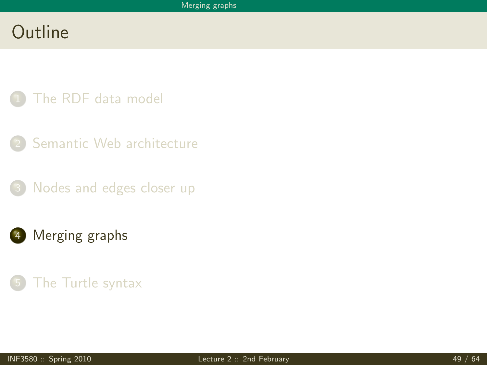# Outline

- [The RDF data model](#page-3-0)
- [Semantic Web architecture](#page-50-0)
- [Nodes and edges closer up](#page-52-0)
- 4 [Merging graphs](#page-61-0)

### <span id="page-61-0"></span>[The Turtle syntax](#page-69-0)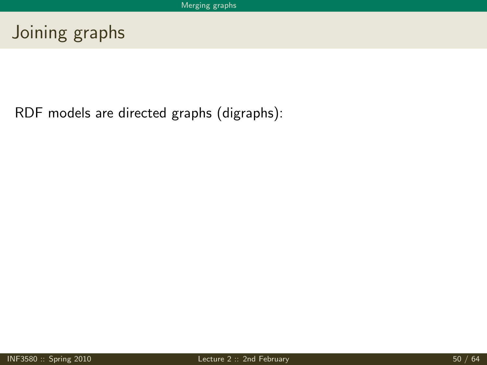# Joining graphs

RDF models are directed graphs (digraphs):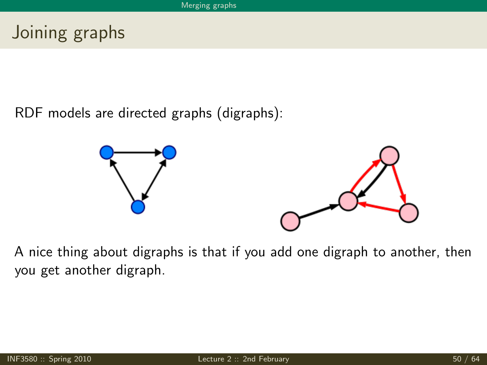# Joining graphs

RDF models are directed graphs (digraphs):



A nice thing about digraphs is that if you add one digraph to another, then you get another digraph.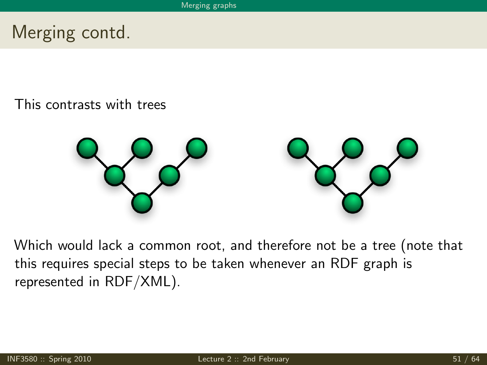# Merging contd.

This contrasts with trees



Which would lack a common root, and therefore not be a tree (note that this requires special steps to be taken whenever an RDF graph is represented in RDF/XML).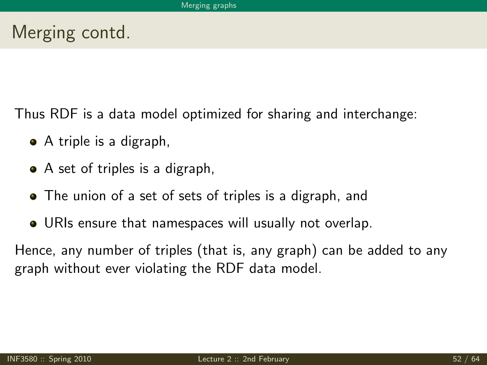# Merging contd.

Thus RDF is a data model optimized for sharing and interchange:

- A triple is a digraph,
- A set of triples is a digraph,
- The union of a set of sets of triples is a digraph, and
- URIs ensure that namespaces will usually not overlap.

Hence, any number of triples (that is, any graph) can be added to any graph without ever violating the RDF data model.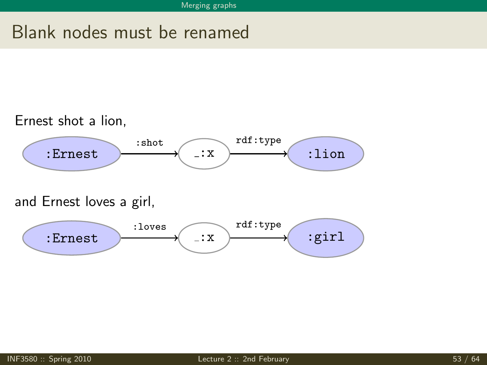# Blank nodes must be renamed



and Ernest loves a girl,

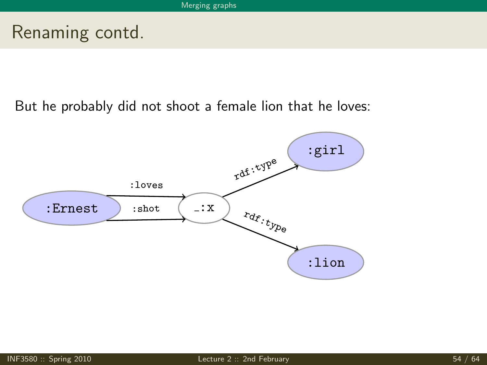# Renaming contd.

But he probably did not shoot a female lion that he loves:

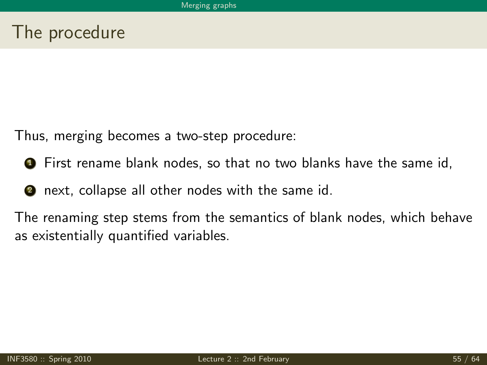# The procedure

Thus, merging becomes a two-step procedure:

- **1** First rename blank nodes, so that no two blanks have the same id,
- **2** next, collapse all other nodes with the same id.

The renaming step stems from the semantics of blank nodes, which behave as existentially quantified variables.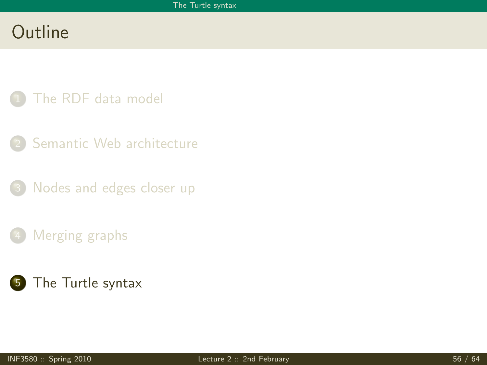# Outline

- [The RDF data model](#page-3-0)
- [Semantic Web architecture](#page-50-0)
- [Nodes and edges closer up](#page-52-0)
- [Merging graphs](#page-61-0)
- <span id="page-69-0"></span>5 [The Turtle syntax](#page-69-0)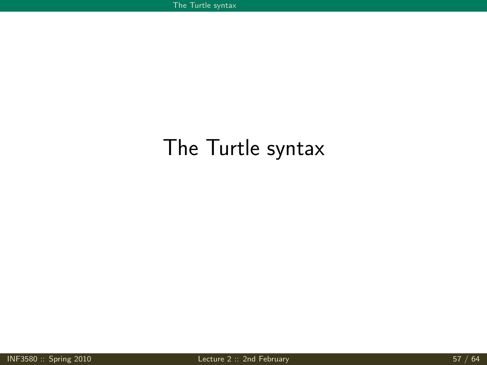# The Turtle syntax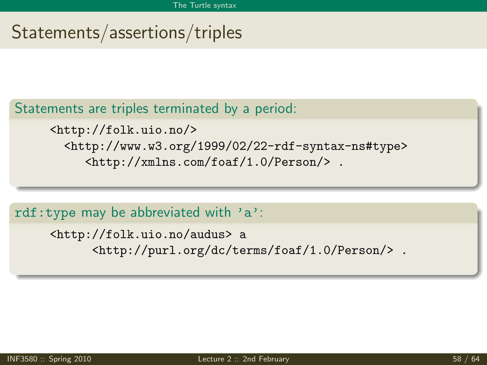# Statements/assertions/triples

#### Statements are triples terminated by a period:

<http://folk.uio.no/> <http://www.w3.org/1999/02/22-rdf-syntax-ns#type> <http://xmlns.com/foaf/1.0/Person/> .

rdf:type may be abbreviated with 'a':

<http://folk.uio.no/audus> a <http://purl.org/dc/terms/foaf/1.0/Person/> .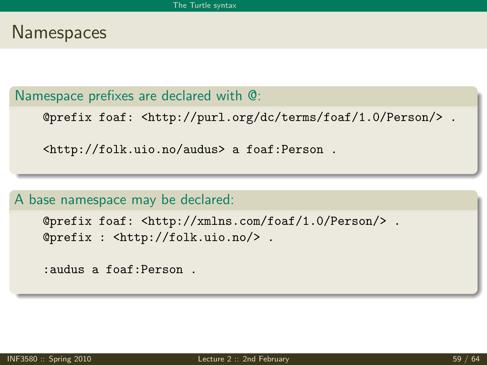### **Namespaces**

Namespace prefixes are declared with @:

@prefix foaf: <http://purl.org/dc/terms/foaf/1.0/Person/> .

<http://folk.uio.no/audus> a foaf:Person .

A base namespace may be declared:

```
@prefix foaf: <http://xmlns.com/foaf/1.0/Person/> .
@prefix : <http://folk.uio.no/> .
```
:audus a foaf:Person .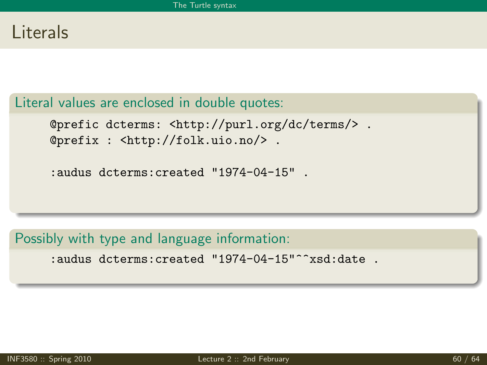## Literals

### Literal values are enclosed in double quotes:

@prefic dcterms: <http://purl.org/dc/terms/> . @prefix : <http://folk.uio.no/> .

:audus dcterms:created "1974-04-15" .

#### Possibly with type and language information:

:audus dcterms:created "1974-04-15"^^xsd:date .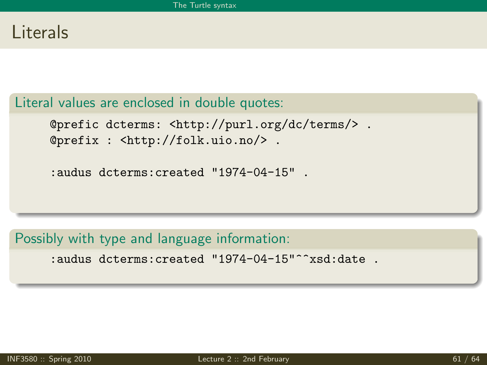## Literals

### Literal values are enclosed in double quotes:

@prefic dcterms: <http://purl.org/dc/terms/> . @prefix : <http://folk.uio.no/> .

:audus dcterms:created "1974-04-15" .

#### Possibly with type and language information:

:audus dcterms:created "1974-04-15"^^xsd:date .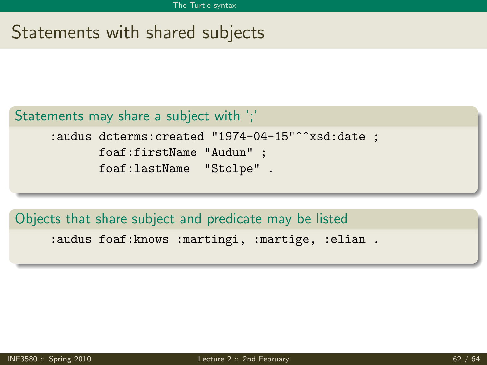# Statements with shared subjects

#### Statements may share a subject with ';'

```
:audus dcterms: created "1974-04-15"^^xsd:date ;
      foaf:firstName "Audun" ;
      foaf:lastName "Stolpe" .
```
#### Objects that share subject and predicate may be listed

:audus foaf:knows :martingi, :martige, :elian .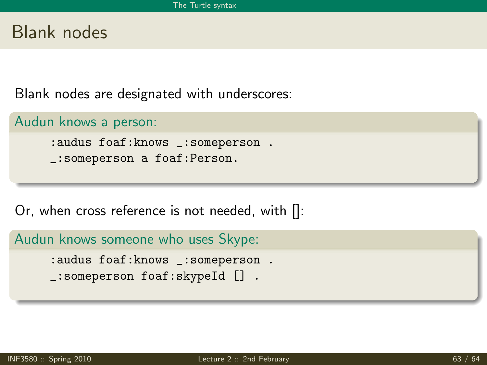## Blank nodes

Blank nodes are designated with underscores:

```
Audun knows a person:
```
:audus foaf:knows \_:someperson . \_:someperson a foaf:Person.

Or, when cross reference is not needed, with []:

Audun knows someone who uses Skype:

:audus foaf:knows \_:someperson . \_:someperson foaf:skypeId [] .